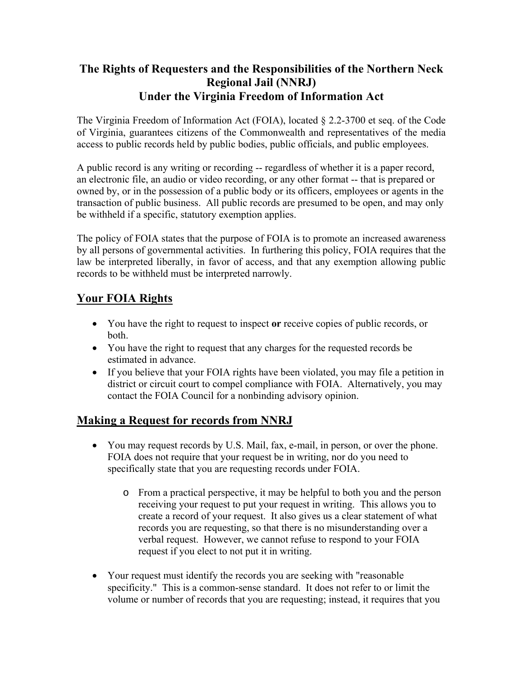# **The Rights of Requesters and the Responsibilities of the Northern Neck Regional Jail (NNRJ) Under the Virginia Freedom of Information Act**

The Virginia Freedom of Information Act (FOIA), located § 2.2-3700 et seq. of the Code of Virginia, guarantees citizens of the Commonwealth and representatives of the media access to public records held by public bodies, public officials, and public employees.

A public record is any writing or recording -- regardless of whether it is a paper record, an electronic file, an audio or video recording, or any other format -- that is prepared or owned by, or in the possession of a public body or its officers, employees or agents in the transaction of public business. All public records are presumed to be open, and may only be withheld if a specific, statutory exemption applies.

The policy of FOIA states that the purpose of FOIA is to promote an increased awareness by all persons of governmental activities. In furthering this policy, FOIA requires that the law be interpreted liberally, in favor of access, and that any exemption allowing public records to be withheld must be interpreted narrowly.

# **Your FOIA Rights**

- You have the right to request to inspect **or** receive copies of public records, or both.
- You have the right to request that any charges for the requested records be estimated in advance.
- If you believe that your FOIA rights have been violated, you may file a petition in district or circuit court to compel compliance with FOIA. Alternatively, you may contact the FOIA Council for a nonbinding advisory opinion.

# **Making a Request for records from NNRJ**

- You may request records by U.S. Mail, fax, e-mail, in person, or over the phone. FOIA does not require that your request be in writing, nor do you need to specifically state that you are requesting records under FOIA.
	- o From a practical perspective, it may be helpful to both you and the person receiving your request to put your request in writing. This allows you to create a record of your request. It also gives us a clear statement of what records you are requesting, so that there is no misunderstanding over a verbal request. However, we cannot refuse to respond to your FOIA request if you elect to not put it in writing.
- Your request must identify the records you are seeking with "reasonable specificity." This is a common-sense standard. It does not refer to or limit the volume or number of records that you are requesting; instead, it requires that you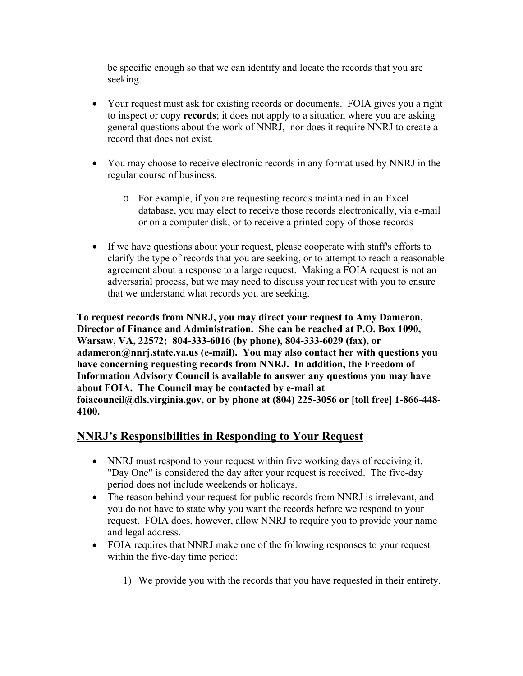be specific enough so that we can identify and locate the records that you are seeking.

- Your request must ask for existing records or documents. FOIA gives you a right to inspect or copy **records**; it does not apply to a situation where you are asking general questions about the work of NNRJ, nor does it require NNRJ to create a record that does not exist.
- You may choose to receive electronic records in any format used by NNRJ in the regular course of business.
	- o For example, if you are requesting records maintained in an Excel database, you may elect to receive those records electronically, via e-mail or on a computer disk, or to receive a printed copy of those records
- If we have questions about your request, please cooperate with staff's efforts to clarify the type of records that you are seeking, or to attempt to reach a reasonable agreement about a response to a large request. Making a FOIA request is not an adversarial process, but we may need to discuss your request with you to ensure that we understand what records you are seeking.

**To request records from NNRJ, you may direct your request to Amy Dameron, Director of Finance and Administration. She can be reached at P.O. Box 1090, Warsaw, VA, 22572; 804-333-6016 (by phone), 804-333-6029 (fax), or adameron@nnrj.state.va.us (e-mail). You may also contact her with questions you have concerning requesting records from NNRJ. In addition, the Freedom of Information Advisory Council is available to answer any questions you may have about FOIA. The Council may be contacted by e-mail at foiacouncil@dls.virginia.gov, or by phone at (804) 225-3056 or [toll free] 1-866-448- 4100.** 

# **NNRJ's Responsibilities in Responding to Your Request**

- NNRJ must respond to your request within five working days of receiving it. "Day One" is considered the day after your request is received. The five-day period does not include weekends or holidays.
- The reason behind your request for public records from NNRJ is irrelevant, and you do not have to state why you want the records before we respond to your request. FOIA does, however, allow NNRJ to require you to provide your name and legal address.
- FOIA requires that NNRJ make one of the following responses to your request within the five-day time period:
	- 1) We provide you with the records that you have requested in their entirety.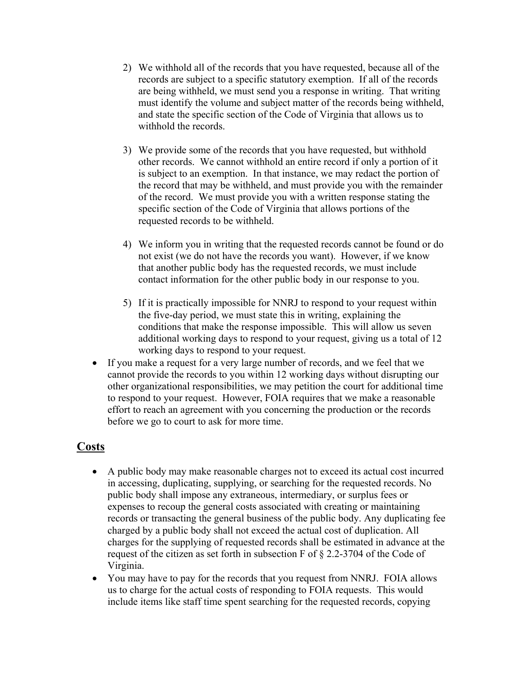- 2) We withhold all of the records that you have requested, because all of the records are subject to a specific statutory exemption. If all of the records are being withheld, we must send you a response in writing. That writing must identify the volume and subject matter of the records being withheld, and state the specific section of the Code of Virginia that allows us to withhold the records.
- 3) We provide some of the records that you have requested, but withhold other records. We cannot withhold an entire record if only a portion of it is subject to an exemption. In that instance, we may redact the portion of the record that may be withheld, and must provide you with the remainder of the record. We must provide you with a written response stating the specific section of the Code of Virginia that allows portions of the requested records to be withheld.
- 4) We inform you in writing that the requested records cannot be found or do not exist (we do not have the records you want). However, if we know that another public body has the requested records, we must include contact information for the other public body in our response to you.
- 5) If it is practically impossible for NNRJ to respond to your request within the five-day period, we must state this in writing, explaining the conditions that make the response impossible. This will allow us seven additional working days to respond to your request, giving us a total of 12 working days to respond to your request.
- If you make a request for a very large number of records, and we feel that we cannot provide the records to you within 12 working days without disrupting our other organizational responsibilities, we may petition the court for additional time to respond to your request. However, FOIA requires that we make a reasonable effort to reach an agreement with you concerning the production or the records before we go to court to ask for more time.

### **Costs**

- A public body may make reasonable charges not to exceed its actual cost incurred in accessing, duplicating, supplying, or searching for the requested records. No public body shall impose any extraneous, intermediary, or surplus fees or expenses to recoup the general costs associated with creating or maintaining records or transacting the general business of the public body. Any duplicating fee charged by a public body shall not exceed the actual cost of duplication. All charges for the supplying of requested records shall be estimated in advance at the request of the citizen as set forth in subsection F of  $\S 2.2$ -3704 of the Code of Virginia.
- You may have to pay for the records that you request from NNRJ. FOIA allows us to charge for the actual costs of responding to FOIA requests. This would include items like staff time spent searching for the requested records, copying